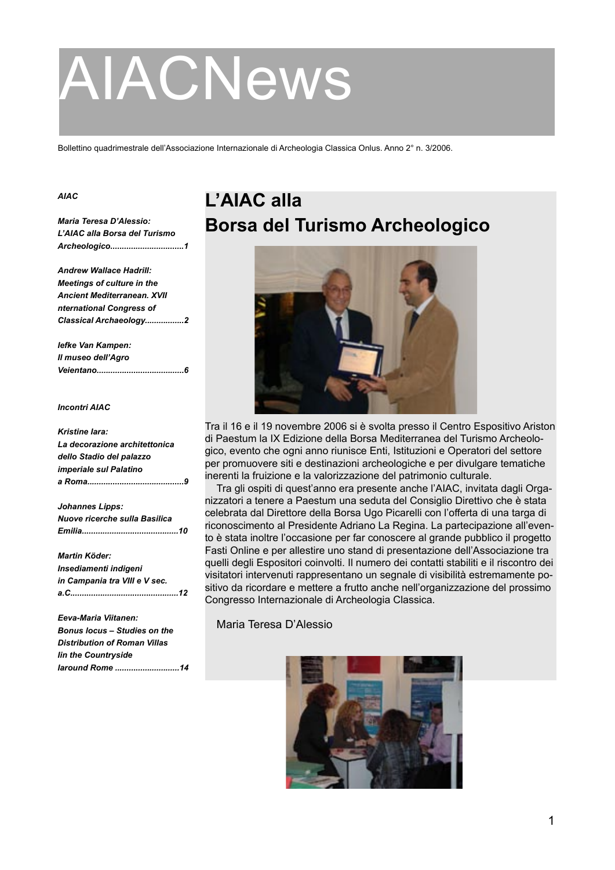# AIACNews

Bollettino quadrimestrale dell'Associazione Internazionale di Archeologia Classica Onlus. Anno 2° n. 3/2006.

#### *AIAC*

*Maria Teresa D'Alessio: L'AIAC alla Borsa del Turismo Archeologico................................1*

*Andrew Wallace Hadrill: Meetings of culture in the Ancient Mediterranean. XVII nternational Congress of Classical Archaeology.................2*

*Iefke Van Kampen: Il museo dell'Agro Veientano......................................6*

#### *Incontri AIAC*

### *Kristine Iara: La decorazione architettonica dello Stadio del palazzo imperiale sul Palatino a Roma..........................................9 Johannes Lipps: Nuove ricerche sulla Basilica Emilia..........................................10 Martin Köder: Insediamenti indigeni in Campania tra VIII e V sec. a.C...............................................12 Eeva-Maria Viitanen: Bonus locus – Studies on the Distribution of Roman Villas Iin the Countryside*

*Iaround Rome ............................14*

### **L'AIAC alla Borsa del Turismo Archeologico**



Tra il 16 e il 19 novembre 2006 si è svolta presso il Centro Espositivo Ariston di Paestum la IX Edizione della Borsa Mediterranea del Turismo Archeologico, evento che ogni anno riunisce Enti, Istituzioni e Operatori del settore per promuovere siti e destinazioni archeologiche e per divulgare tematiche inerenti la fruizione e la valorizzazione del patrimonio culturale.

Tra gli ospiti di quest'anno era presente anche l'AIAC, invitata dagli Organizzatori a tenere a Paestum una seduta del Consiglio Direttivo che è stata celebrata dal Direttore della Borsa Ugo Picarelli con l'offerta di una targa di riconoscimento al Presidente Adriano La Regina. La partecipazione all'evento è stata inoltre l'occasione per far conoscere al grande pubblico il progetto Fasti Online e per allestire uno stand di presentazione dell'Associazione tra quelli degli Espositori coinvolti. Il numero dei contatti stabiliti e il riscontro dei visitatori intervenuti rappresentano un segnale di visibilità estremamente positivo da ricordare e mettere a frutto anche nell'organizzazione del prossimo Congresso Internazionale di Archeologia Classica.

Maria Teresa D'Alessio

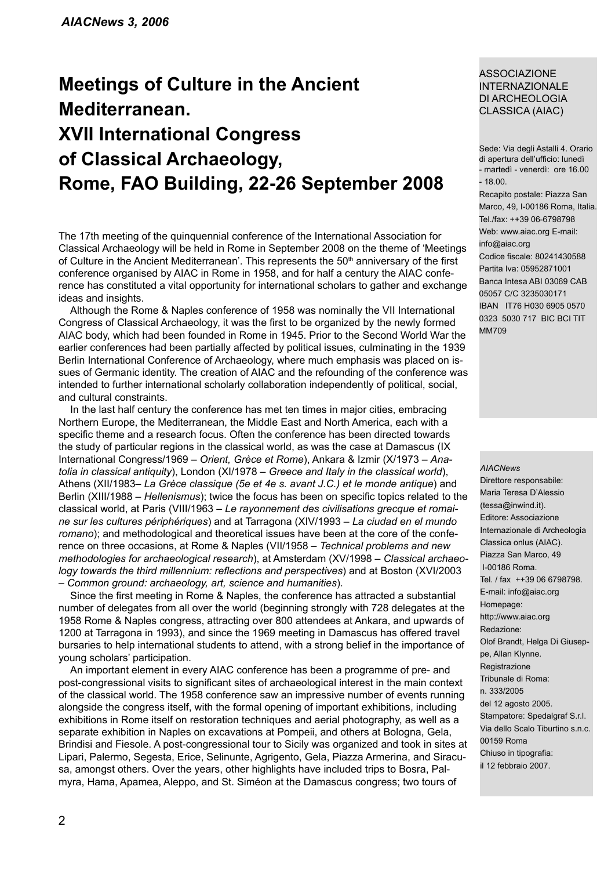### **Meetings of Culture in the Ancient Mediterranean. XVII International Congress of Classical Archaeology, Rome, FAO Building, 22-26 September 2008**

The 17th meeting of the quinquennial conference of the International Association for Classical Archaeology will be held in Rome in September 2008 on the theme of 'Meetings of Culture in the Ancient Mediterranean'. This represents the 50<sup>th</sup> anniversary of the first conference organised by AIAC in Rome in 1958, and for half a century the AIAC conference has constituted a vital opportunity for international scholars to gather and exchange ideas and insights.

Although the Rome & Naples conference of 1958 was nominally the VII International Congress of Classical Archaeology, it was the first to be organized by the newly formed AIAC body, which had been founded in Rome in 1945. Prior to the Second World War the earlier conferences had been partially affected by political issues, culminating in the 1939 Berlin International Conference of Archaeology, where much emphasis was placed on issues of Germanic identity. The creation of AIAC and the refounding of the conference was intended to further international scholarly collaboration independently of political, social, and cultural constraints.

In the last half century the conference has met ten times in major cities, embracing Northern Europe, the Mediterranean, the Middle East and North America, each with a specific theme and a research focus. Often the conference has been directed towards the study of particular regions in the classical world, as was the case at Damascus (IX International Congress/1969 – *Orient, Grèce et Rome*), Ankara & Izmir (X/1973 – *Anatolia in classical antiquity*), London (XI/1978 – *Greece and Italy in the classical world*), Athens (XII/1983– *La Grèce classique (5e et 4e s. avant J.C.) et le monde antique*) and Berlin (XIII/1988 – *Hellenismus*); twice the focus has been on specific topics related to the classical world, at Paris (VIII/1963 – *Le rayonnement des civilisations grecque et romaine sur les cultures périphériques*) and at Tarragona (XIV/1993 – *La ciudad en el mundo romano*); and methodological and theoretical issues have been at the core of the conference on three occasions, at Rome & Naples (VII/1958 – *Technical problems and new methodologies for archaeological research*), at Amsterdam (XV/1998 – *Classical archaeology towards the third millennium: reflections and perspectives*) and at Boston (XVI/2003 – *Common ground: archaeology, art, science and humanities*).

Since the first meeting in Rome & Naples, the conference has attracted a substantial number of delegates from all over the world (beginning strongly with 728 delegates at the 1958 Rome & Naples congress, attracting over 800 attendees at Ankara, and upwards of 1200 at Tarragona in 1993), and since the 1969 meeting in Damascus has offered travel bursaries to help international students to attend, with a strong belief in the importance of young scholars' participation.

An important element in every AIAC conference has been a programme of pre- and post-congressional visits to significant sites of archaeological interest in the main context of the classical world. The 1958 conference saw an impressive number of events running alongside the congress itself, with the formal opening of important exhibitions, including exhibitions in Rome itself on restoration techniques and aerial photography, as well as a separate exhibition in Naples on excavations at Pompeii, and others at Bologna, Gela, Brindisi and Fiesole. A post-congressional tour to Sicily was organized and took in sites at Lipari, Palermo, Segesta, Erice, Selinunte, Agrigento, Gela, Piazza Armerina, and Siracusa, amongst others. Over the years, other highlights have included trips to Bosra, Palmyra, Hama, Apamea, Aleppo, and St. Siméon at the Damascus congress; two tours of

### ASSOCIAZIONE INTERNAZIONALE DI ARCHEOLOGIA CLASSICA (AIAC)

Sede: Via degli Astalli 4. Orario di apertura dell'ufficio: lunedì - martedì - venerdì: ore 16.00 - 18.00.

Recapito postale: Piazza San Marco, 49, I-00186 Roma, Italia. Tel./fax: ++39 06-6798798 Web: www.aiac.org E-mail: info@aiac.org Codice fiscale: 80241430588 Partita Iva: 05952871001 Banca Intesa ABI 03069 CAB 05057 C/C 3235030171 IBAN IT76 H030 6905 0570 0323 5030 717 BIC BCI TIT MM709

#### *AIACNews*

Direttore responsabile: Maria Teresa D'Alessio (tessa@inwind.it). Editore: Associazione Internazionale di Archeologia Classica onlus (AIAC). Piazza San Marco, 49 I-00186 Roma. Tel. / fax ++39 06 6798798. E-mail: info@aiac.org Homepage: http://www.aiac.org Redazione: Olof Brandt, Helga Di Giuseppe, Allan Klynne. Registrazione Tribunale di Roma: n. 333/2005 del 12 agosto 2005. Stampatore: Spedalgraf S.r.l. Via dello Scalo Tiburtino s.n.c. 00159 Roma Chiuso in tipografia: il 12 febbraio 2007.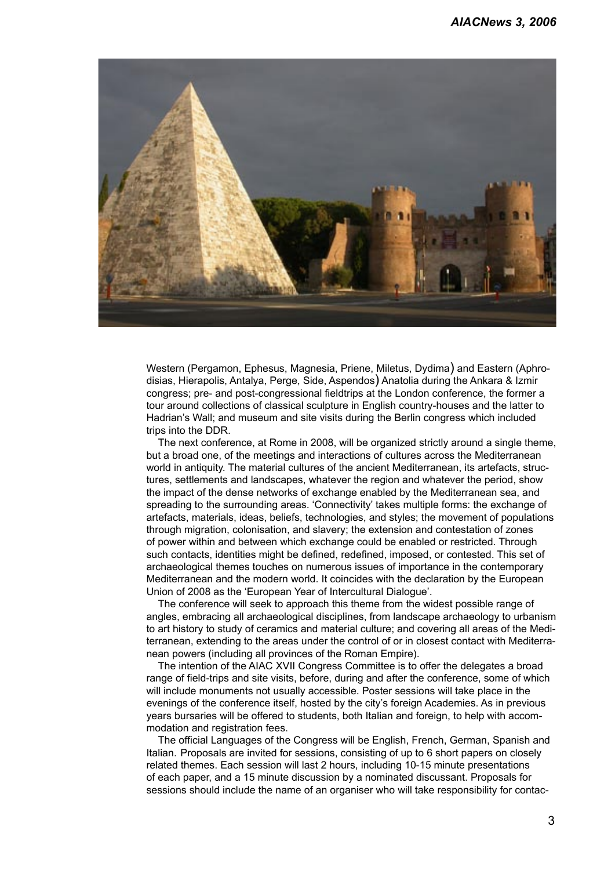

Western (Pergamon, Ephesus, Magnesia, Priene, Miletus, Dydima) and Eastern (Aphrodisias, Hierapolis, Antalya, Perge, Side, Aspendos) Anatolia during the Ankara & Izmir congress; pre- and post-congressional fieldtrips at the London conference, the former a tour around collections of classical sculpture in English country-houses and the latter to Hadrian's Wall; and museum and site visits during the Berlin congress which included trips into the DDR.

The next conference, at Rome in 2008, will be organized strictly around a single theme, but a broad one, of the meetings and interactions of cultures across the Mediterranean world in antiquity. The material cultures of the ancient Mediterranean, its artefacts, structures, settlements and landscapes, whatever the region and whatever the period, show the impact of the dense networks of exchange enabled by the Mediterranean sea, and spreading to the surrounding areas. 'Connectivity' takes multiple forms: the exchange of artefacts, materials, ideas, beliefs, technologies, and styles; the movement of populations through migration, colonisation, and slavery; the extension and contestation of zones of power within and between which exchange could be enabled or restricted. Through such contacts, identities might be defined, redefined, imposed, or contested. This set of archaeological themes touches on numerous issues of importance in the contemporary Mediterranean and the modern world. It coincides with the declaration by the European Union of 2008 as the 'European Year of Intercultural Dialogue'.

The conference will seek to approach this theme from the widest possible range of angles, embracing all archaeological disciplines, from landscape archaeology to urbanism to art history to study of ceramics and material culture; and covering all areas of the Mediterranean, extending to the areas under the control of or in closest contact with Mediterranean powers (including all provinces of the Roman Empire).

The intention of the AIAC XVII Congress Committee is to offer the delegates a broad range of field-trips and site visits, before, during and after the conference, some of which will include monuments not usually accessible. Poster sessions will take place in the evenings of the conference itself, hosted by the city's foreign Academies. As in previous years bursaries will be offered to students, both Italian and foreign, to help with accommodation and registration fees.

The official Languages of the Congress will be English, French, German, Spanish and Italian. Proposals are invited for sessions, consisting of up to 6 short papers on closely related themes. Each session will last 2 hours, including 10-15 minute presentations of each paper, and a 15 minute discussion by a nominated discussant. Proposals for sessions should include the name of an organiser who will take responsibility for contac-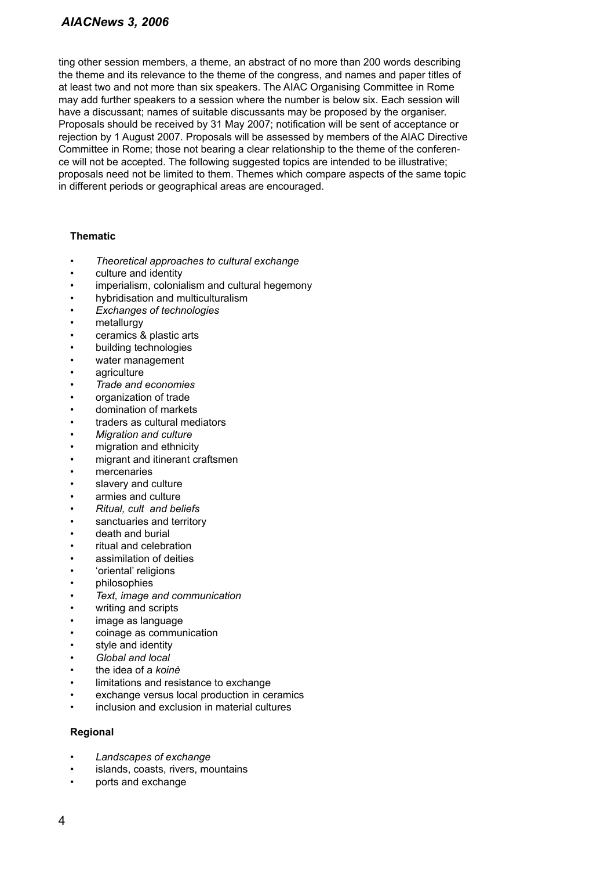### *AIACNews 3, 2006*

ting other session members, a theme, an abstract of no more than 200 words describing the theme and its relevance to the theme of the congress, and names and paper titles of at least two and not more than six speakers. The AIAC Organising Committee in Rome may add further speakers to a session where the number is below six. Each session will have a discussant; names of suitable discussants may be proposed by the organiser. Proposals should be received by 31 May 2007; notification will be sent of acceptance or rejection by 1 August 2007. Proposals will be assessed by members of the AIAC Directive Committee in Rome; those not bearing a clear relationship to the theme of the conference will not be accepted. The following suggested topics are intended to be illustrative; proposals need not be limited to them. Themes which compare aspects of the same topic in different periods or geographical areas are encouraged.

### **Thematic**

- *Theoretical approaches to cultural exchange*
- culture and identity
- imperialism, colonialism and cultural hegemony
- hybridisation and multiculturalism
- *Exchanges of technologies*
- metallurgy
- ceramics & plastic arts
- building technologies
- water management
- agriculture
- *Trade and economies*
- organization of trade
- domination of markets
- traders as cultural mediators
- *Migration and culture*
- migration and ethnicity
- migrant and itinerant craftsmen
- mercenaries
- slavery and culture
- armies and culture
- *Ritual, cult and beliefs*
- sanctuaries and territory
- death and burial
- ritual and celebration
- assimilation of deities
- 'oriental' religions
- philosophies
- *Text, image and communication*
- writing and scripts
- image as language
- coinage as communication
- style and identity
- *Global and local*
- the idea of a *koinè*
- limitations and resistance to exchange
- exchange versus local production in ceramics
- inclusion and exclusion in material cultures

### **Regional**

- *Landscapes of exchange*
- islands, coasts, rivers, mountains
- ports and exchange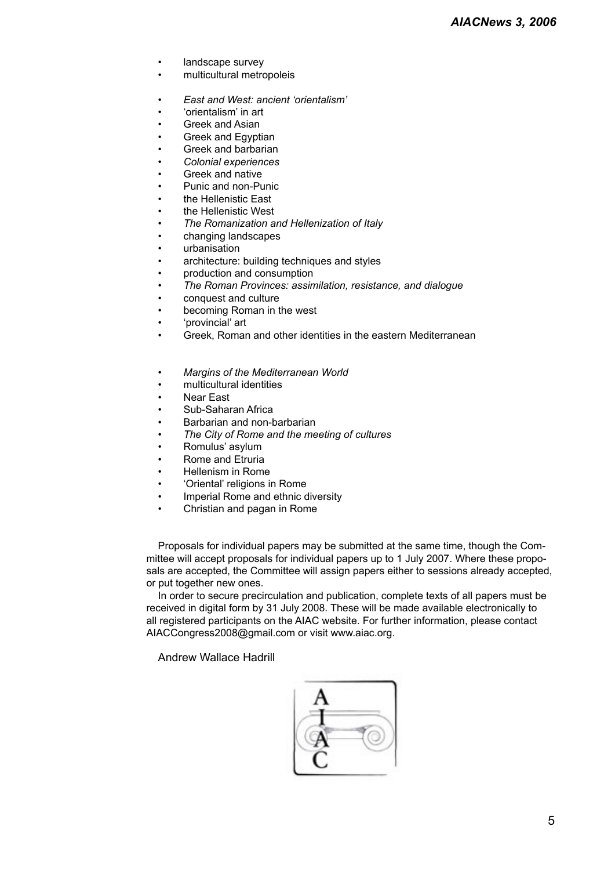- landscape survey
- multicultural metropoleis
- *East and West: ancient 'orientalism'*
- 'orientalism' in art
- Greek and Asian
- Greek and Egyptian
- Greek and barbarian
- *Colonial experiences*
- Greek and native
- Punic and non-Punic
- the Hellenistic East
- the Hellenistic West
- *The Romanization and Hellenization of Italy*
- changing landscapes
- urbanisation
- architecture: building techniques and styles
- production and consumption
- *The Roman Provinces: assimilation, resistance, and dialogue*
- conquest and culture
- becoming Roman in the west
- 'provincial' art
- Greek, Roman and other identities in the eastern Mediterranean
- *Margins of the Mediterranean World*
- multicultural identities
- Near East
- Sub-Saharan Africa
- Barbarian and non-barbarian
- *The City of Rome and the meeting of cultures*
- Romulus' asylum
- Rome and Etruria
- Hellenism in Rome
- 'Oriental' religions in Rome
- Imperial Rome and ethnic diversity
- Christian and pagan in Rome

Proposals for individual papers may be submitted at the same time, though the Committee will accept proposals for individual papers up to 1 July 2007. Where these proposals are accepted, the Committee will assign papers either to sessions already accepted, or put together new ones.

In order to secure precirculation and publication, complete texts of all papers must be received in digital form by 31 July 2008. These will be made available electronically to all registered participants on the AIAC website. For further information, please contact AIACCongress2008@gmail.com or visit www.aiac.org.

Andrew Wallace Hadrill

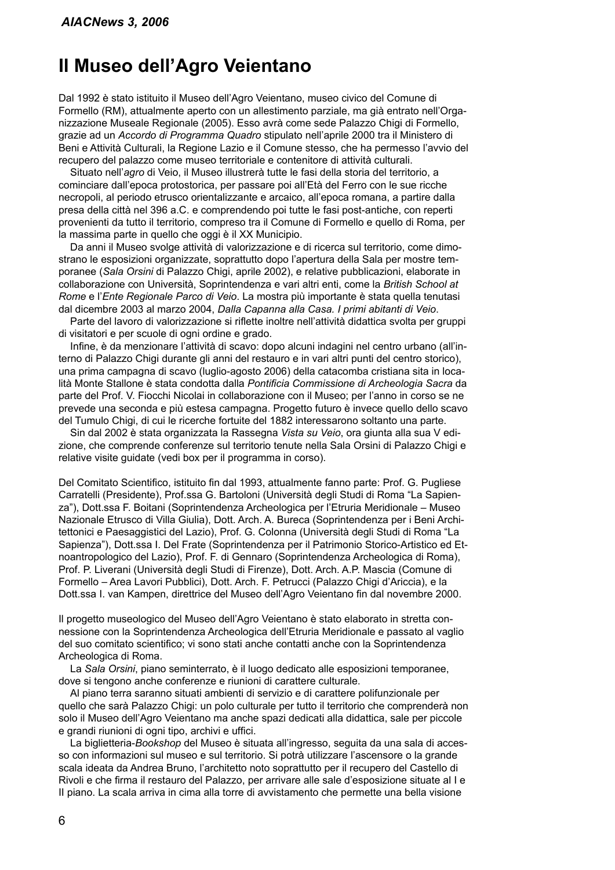### **Il Museo dell'Agro Veientano**

Dal 1992 è stato istituito il Museo dell'Agro Veientano, museo civico del Comune di Formello (RM), attualmente aperto con un allestimento parziale, ma già entrato nell'Organizzazione Museale Regionale (2005). Esso avrà come sede Palazzo Chigi di Formello, grazie ad un *Accordo di Programma Quadro* stipulato nell'aprile 2000 tra il Ministero di Beni e Attività Culturali, la Regione Lazio e il Comune stesso, che ha permesso l'avvio del recupero del palazzo come museo territoriale e contenitore di attività culturali.

Situato nell'*agro* di Veio, il Museo illustrerà tutte le fasi della storia del territorio, a cominciare dall'epoca protostorica, per passare poi all'Età del Ferro con le sue ricche necropoli, al periodo etrusco orientalizzante e arcaico, all'epoca romana, a partire dalla presa della città nel 396 a.C. e comprendendo poi tutte le fasi post-antiche, con reperti provenienti da tutto il territorio, compreso tra il Comune di Formello e quello di Roma, per la massima parte in quello che oggi è il XX Municipio.

Da anni il Museo svolge attività di valorizzazione e di ricerca sul territorio, come dimostrano le esposizioni organizzate, soprattutto dopo l'apertura della Sala per mostre temporanee (*Sala Orsini* di Palazzo Chigi, aprile 2002), e relative pubblicazioni, elaborate in collaborazione con Università, Soprintendenza e vari altri enti, come la *British School at Rome* e l'*Ente Regionale Parco di Veio*. La mostra più importante è stata quella tenutasi dal dicembre 2003 al marzo 2004, *Dalla Capanna alla Casa. I primi abitanti di Veio*.

Parte del lavoro di valorizzazione si riflette inoltre nell'attività didattica svolta per gruppi di visitatori e per scuole di ogni ordine e grado.

Infine, è da menzionare l'attività di scavo: dopo alcuni indagini nel centro urbano (all'interno di Palazzo Chigi durante gli anni del restauro e in vari altri punti del centro storico), una prima campagna di scavo (luglio-agosto 2006) della catacomba cristiana sita in località Monte Stallone è stata condotta dalla *Pontificia Commissione di Archeologia Sacra* da parte del Prof. V. Fiocchi Nicolai in collaborazione con il Museo; per l'anno in corso se ne prevede una seconda e più estesa campagna. Progetto futuro è invece quello dello scavo del Tumulo Chigi, di cui le ricerche fortuite del 1882 interessarono soltanto una parte.

Sin dal 2002 è stata organizzata la Rassegna *Vista su Veio*, ora giunta alla sua V edizione, che comprende conferenze sul territorio tenute nella Sala Orsini di Palazzo Chigi e relative visite guidate (vedi box per il programma in corso).

Del Comitato Scientifico, istituito fin dal 1993, attualmente fanno parte: Prof. G. Pugliese Carratelli (Presidente), Prof.ssa G. Bartoloni (Università degli Studi di Roma "La Sapienza"), Dott.ssa F. Boitani (Soprintendenza Archeologica per l'Etruria Meridionale – Museo Nazionale Etrusco di Villa Giulia), Dott. Arch. A. Bureca (Soprintendenza per i Beni Architettonici e Paesaggistici del Lazio), Prof. G. Colonna (Università degli Studi di Roma "La Sapienza"), Dott.ssa I. Del Frate (Soprintendenza per il Patrimonio Storico-Artistico ed Etnoantropologico del Lazio), Prof. F. di Gennaro (Soprintendenza Archeologica di Roma), Prof. P. Liverani (Università degli Studi di Firenze), Dott. Arch. A.P. Mascia (Comune di Formello – Area Lavori Pubblici), Dott. Arch. F. Petrucci (Palazzo Chigi d'Ariccia), e la Dott.ssa I. van Kampen, direttrice del Museo dell'Agro Veientano fin dal novembre 2000.

Il progetto museologico del Museo dell'Agro Veientano è stato elaborato in stretta connessione con la Soprintendenza Archeologica dell'Etruria Meridionale e passato al vaglio del suo comitato scientifico; vi sono stati anche contatti anche con la Soprintendenza Archeologica di Roma.

La *Sala Orsini*, piano seminterrato, è il luogo dedicato alle esposizioni temporanee, dove si tengono anche conferenze e riunioni di carattere culturale.

Al piano terra saranno situati ambienti di servizio e di carattere polifunzionale per quello che sarà Palazzo Chigi: un polo culturale per tutto il territorio che comprenderà non solo il Museo dell'Agro Veientano ma anche spazi dedicati alla didattica, sale per piccole e grandi riunioni di ogni tipo, archivi e uffici.

La biglietteria-*Bookshop* del Museo è situata all'ingresso, seguita da una sala di accesso con informazioni sul museo e sul territorio. Si potrà utilizzare l'ascensore o la grande scala ideata da Andrea Bruno, l'architetto noto soprattutto per il recupero del Castello di Rivoli e che firma il restauro del Palazzo, per arrivare alle sale d'esposizione situate al I e II piano. La scala arriva in cima alla torre di avvistamento che permette una bella visione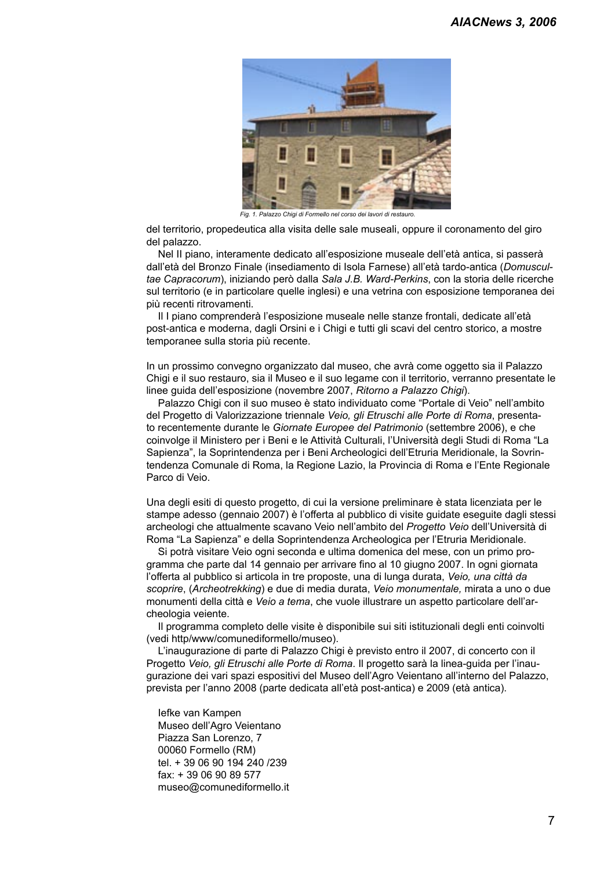

*Fig. 1. Palazzo Chigi di Formello nel corso dei lavori di restauro.*

del territorio, propedeutica alla visita delle sale museali, oppure il coronamento del giro del palazzo.

Nel II piano, interamente dedicato all'esposizione museale dell'età antica, si passerà dall'età del Bronzo Finale (insediamento di Isola Farnese) all'età tardo-antica (*Domuscultae Capracorum*), iniziando però dalla *Sala J.B. Ward-Perkins*, con la storia delle ricerche sul territorio (e in particolare quelle inglesi) e una vetrina con esposizione temporanea dei più recenti ritrovamenti.

Il I piano comprenderà l'esposizione museale nelle stanze frontali, dedicate all'età post-antica e moderna, dagli Orsini e i Chigi e tutti gli scavi del centro storico, a mostre temporanee sulla storia più recente.

In un prossimo convegno organizzato dal museo, che avrà come oggetto sia il Palazzo Chigi e il suo restauro, sia il Museo e il suo legame con il territorio, verranno presentate le linee guida dell'esposizione (novembre 2007, *Ritorno a Palazzo Chigi*).

Palazzo Chigi con il suo museo è stato individuato come "Portale di Veio" nell'ambito del Progetto di Valorizzazione triennale *Veio, gli Etruschi alle Porte di Roma*, presentato recentemente durante le *Giornate Europee del Patrimonio* (settembre 2006), e che coinvolge il Ministero per i Beni e le Attività Culturali, l'Università degli Studi di Roma "La Sapienza", la Soprintendenza per i Beni Archeologici dell'Etruria Meridionale, la Sovrintendenza Comunale di Roma, la Regione Lazio, la Provincia di Roma e l'Ente Regionale Parco di Veio.

Una degli esiti di questo progetto, di cui la versione preliminare è stata licenziata per le stampe adesso (gennaio 2007) è l'offerta al pubblico di visite guidate eseguite dagli stessi archeologi che attualmente scavano Veio nell'ambito del *Progetto Veio* dell'Università di Roma "La Sapienza" e della Soprintendenza Archeologica per l'Etruria Meridionale.

Si potrà visitare Veio ogni seconda e ultima domenica del mese, con un primo programma che parte dal 14 gennaio per arrivare fino al 10 giugno 2007. In ogni giornata l'offerta al pubblico si articola in tre proposte, una di lunga durata, *Veio, una città da scoprire*, (*Archeotrekking*) e due di media durata, *Veio monumentale,* mirata a uno o due monumenti della città e *Veio a tema*, che vuole illustrare un aspetto particolare dell'archeologia veiente.

Il programma completo delle visite è disponibile sui siti istituzionali degli enti coinvolti (vedi http/www/comunediformello/museo).

L'inaugurazione di parte di Palazzo Chigi è previsto entro il 2007, di concerto con il Progetto *Veio, gli Etruschi alle Porte di Roma*. Il progetto sarà la linea-guida per l'inaugurazione dei vari spazi espositivi del Museo dell'Agro Veientano all'interno del Palazzo, prevista per l'anno 2008 (parte dedicata all'età post-antica) e 2009 (età antica).

Iefke van Kampen Museo dell'Agro Veientano Piazza San Lorenzo, 7 00060 Formello (RM) tel. + 39 06 90 194 240 /239 fax: + 39 06 90 89 577 museo@comunediformello.it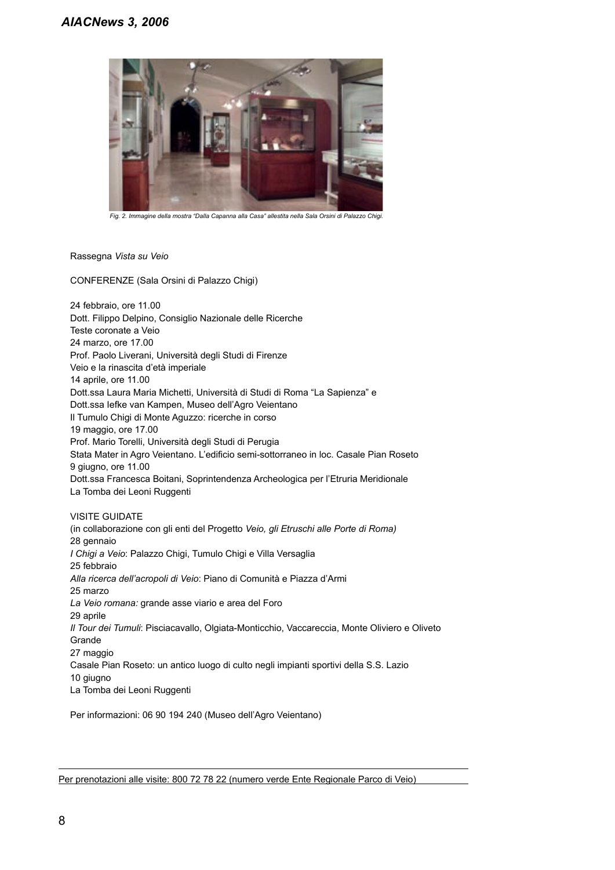

*Fig. 2. Immagine della mostra "Dalla Capanna alla Casa" allestita nella Sala Orsini di Palazzo Chigi.*

Rassegna *Vista su Veio*

CONFERENZE (Sala Orsini di Palazzo Chigi)

24 febbraio, ore 11.00 Dott. Filippo Delpino, Consiglio Nazionale delle Ricerche Teste coronate a Veio 24 marzo, ore 17.00 Prof. Paolo Liverani, Università degli Studi di Firenze Veio e la rinascita d'età imperiale 14 aprile, ore 11.00 Dott.ssa Laura Maria Michetti, Università di Studi di Roma "La Sapienza" e Dott.ssa Iefke van Kampen, Museo dell'Agro Veientano Il Tumulo Chigi di Monte Aguzzo: ricerche in corso 19 maggio, ore 17.00 Prof. Mario Torelli, Università degli Studi di Perugia Stata Mater in Agro Veientano. L'edificio semi-sottorraneo in loc. Casale Pian Roseto 9 giugno, ore 11.00 Dott.ssa Francesca Boitani, Soprintendenza Archeologica per l'Etruria Meridionale La Tomba dei Leoni Ruggenti

### VISITE GUIDATE

(in collaborazione con gli enti del Progetto *Veio, gli Etruschi alle Porte di Roma)* 28 gennaio *I Chigi a Veio*: Palazzo Chigi, Tumulo Chigi e Villa Versaglia 25 febbraio *Alla ricerca dell'acropoli di Veio*: Piano di Comunità e Piazza d'Armi 25 marzo *La Veio romana:* grande asse viario e area del Foro 29 aprile *Il Tour dei Tumuli*: Pisciacavallo, Olgiata-Monticchio, Vaccareccia, Monte Oliviero e Oliveto Grande 27 maggio Casale Pian Roseto: un antico luogo di culto negli impianti sportivi della S.S. Lazio 10 giugno La Tomba dei Leoni Ruggenti

Per informazioni: 06 90 194 240 (Museo dell'Agro Veientano)

Per prenotazioni alle visite: 800 72 78 22 (numero verde Ente Regionale Parco di Veio)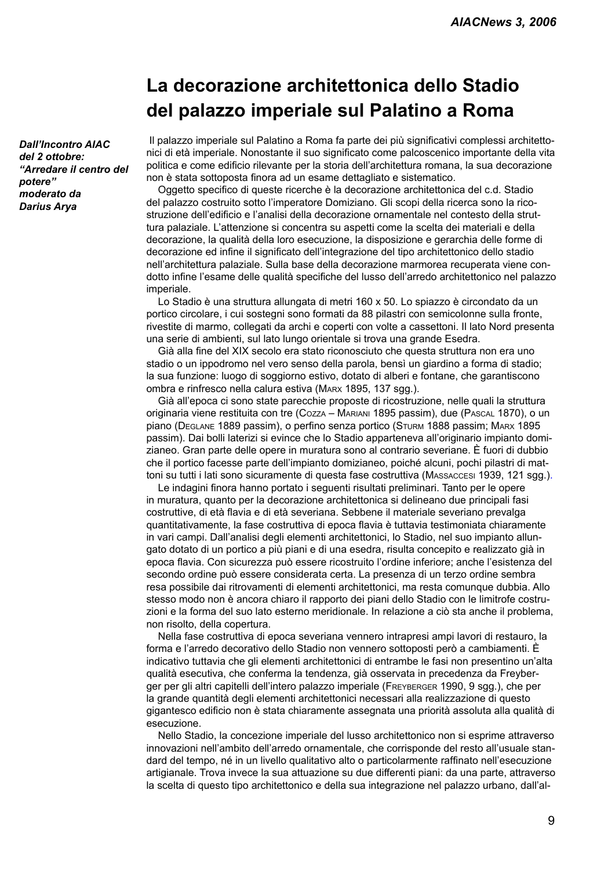### **La decorazione architettonica dello Stadio del palazzo imperiale sul Palatino a Roma**

*Dall'Incontro AIAC del 2 ottobre: "Arredare il centro del potere" moderato da Darius Arya*

Il palazzo imperiale sul Palatino a Roma fa parte dei più significativi complessi architettonici di età imperiale. Nonostante il suo significato come palcoscenico importante della vita politica e come edificio rilevante per la storia dell'architettura romana, la sua decorazione non è stata sottoposta finora ad un esame dettagliato e sistematico.

Oggetto specifico di queste ricerche è la decorazione architettonica del c.d. Stadio del palazzo costruito sotto l'imperatore Domiziano. Gli scopi della ricerca sono la ricostruzione dell'edificio e l'analisi della decorazione ornamentale nel contesto della struttura palaziale. L'attenzione si concentra su aspetti come la scelta dei materiali e della decorazione, la qualità della loro esecuzione, la disposizione e gerarchia delle forme di decorazione ed infine il significato dell'integrazione del tipo architettonico dello stadio nell'architettura palaziale. Sulla base della decorazione marmorea recuperata viene condotto infine l'esame delle qualità specifiche del lusso dell'arredo architettonico nel palazzo imperiale.

Lo Stadio è una struttura allungata di metri 160 x 50. Lo spiazzo è circondato da un portico circolare, i cui sostegni sono formati da 88 pilastri con semicolonne sulla fronte, rivestite di marmo, collegati da archi e coperti con volte a cassettoni. Il lato Nord presenta una serie di ambienti, sul lato lungo orientale si trova una grande Esedra.

Già alla fine del XIX secolo era stato riconosciuto che questa struttura non era uno stadio o un ippodromo nel vero senso della parola, bensì un giardino a forma di stadio; la sua funzione: luogo di soggiorno estivo, dotato di alberi e fontane, che garantiscono ombra e rinfresco nella calura estiva (MARX 1895, 137 sgg.).

Già all'epoca ci sono state parecchie proposte di ricostruzione, nelle quali la struttura originaria viene restituita con tre (COZZA – MARIANI 1895 passim), due (PASCAL 1870), o un piano (DEGLANE 1889 passim), o perfino senza portico (STURM 1888 passim; MARX 1895 passim). Dai bolli laterizi si evince che lo Stadio apparteneva all'originario impianto domizianeo. Gran parte delle opere in muratura sono al contrario severiane. È fuori di dubbio che il portico facesse parte dell'impianto domizianeo, poiché alcuni, pochi pilastri di mattoni su tutti i lati sono sicuramente di questa fase costruttiva (MASSACCESI 1939, 121 sgg.).

Le indagini finora hanno portato i seguenti risultati preliminari. Tanto per le opere in muratura, quanto per la decorazione architettonica si delineano due principali fasi costruttive, di età flavia e di età severiana. Sebbene il materiale severiano prevalga quantitativamente, la fase costruttiva di epoca flavia è tuttavia testimoniata chiaramente in vari campi. Dall'analisi degli elementi architettonici, lo Stadio, nel suo impianto allungato dotato di un portico a più piani e di una esedra, risulta concepito e realizzato già in epoca flavia. Con sicurezza può essere ricostruito l'ordine inferiore; anche l'esistenza del secondo ordine può essere considerata certa. La presenza di un terzo ordine sembra resa possibile dai ritrovamenti di elementi architettonici, ma resta comunque dubbia. Allo stesso modo non è ancora chiaro il rapporto dei piani dello Stadio con le limitrofe costruzioni e la forma del suo lato esterno meridionale. In relazione a ciò sta anche il problema, non risolto, della copertura.

Nella fase costruttiva di epoca severiana vennero intrapresi ampi lavori di restauro, la forma e l'arredo decorativo dello Stadio non vennero sottoposti però a cambiamenti. È indicativo tuttavia che gli elementi architettonici di entrambe le fasi non presentino un'alta qualità esecutiva, che conferma la tendenza, già osservata in precedenza da Freyberger per gli altri capitelli dell'intero palazzo imperiale (FREYBERGER 1990, 9 sgg.), che per la grande quantità degli elementi architettonici necessari alla realizzazione di questo gigantesco edificio non è stata chiaramente assegnata una priorità assoluta alla qualità di esecuzione.

Nello Stadio, la concezione imperiale del lusso architettonico non si esprime attraverso innovazioni nell'ambito dell'arredo ornamentale, che corrisponde del resto all'usuale standard del tempo, né in un livello qualitativo alto o particolarmente raffinato nell'esecuzione artigianale. Trova invece la sua attuazione su due differenti piani: da una parte, attraverso la scelta di questo tipo architettonico e della sua integrazione nel palazzo urbano, dall'al-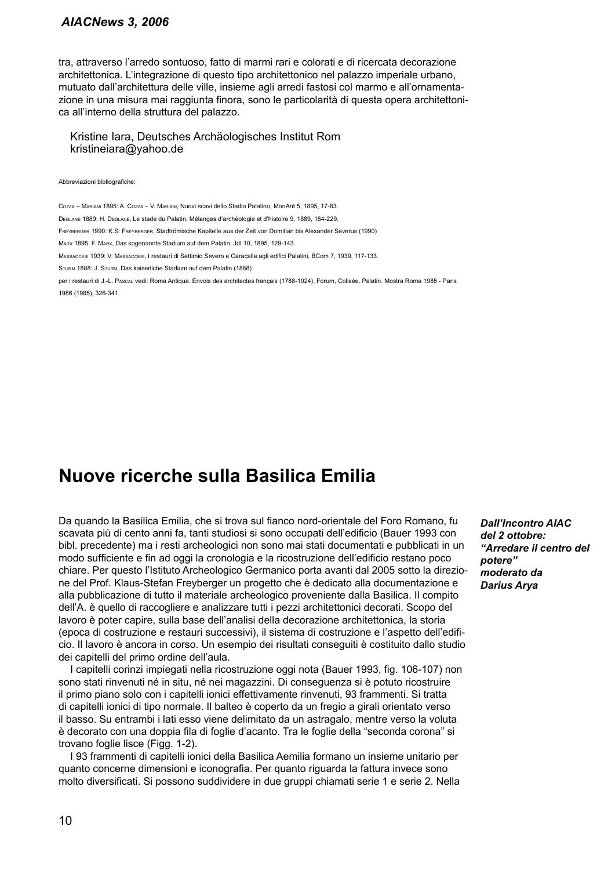### *AIACNews 3, 2006*

tra, attraverso l'arredo sontuoso, fatto di marmi rari e colorati e di ricercata decorazione architettonica. L'integrazione di questo tipo architettonico nel palazzo imperiale urbano, mutuato dall'architettura delle ville, insieme agli arredi fastosi col marmo e all'ornamentazione in una misura mai raggiunta finora, sono le particolarità di questa opera architettonica all'interno della struttura del palazzo.

Kristine Iara, Deutsches Archäologisches Institut Rom kristineiara@yahoo.de

#### Abbreviazioni bibliografiche:

COZZA – MARIANI 1895: A. COZZA – V. MARIANI, Nuovi scavi dello Stadio Palatino, MonAnt 5, 1895, 17-83. DEGLANE 1889: H. DEGLANE, Le stade du Palatin, Mélanges d'archéologie et d'histoire 9, 1889, 184-229. FREYBERGER 1990: K.S. FREYBERGER, Stadtrömische Kapitelle aus der Zeit von Domitian bis Alexander Severus (1990) MARX 1895: F. MARX, Das sogenannte Stadium auf dem Palatin, JdI 10, 1895, 129-143. MASSACCESI 1939: V. MASSACCESI, I restauri di Settimio Severo e Caracalla agli edifici Palatini, BCom 7, 1939, 117-133. STURM 1888: J. STURM, Das kaiserliche Stadium auf dem Palatin (1888) per i restauri di J.-L. PASCAL vedi: Roma Antiqua. Envois des architectes français (1788-1924), Forum, Colisée, Palatin. Mostra Roma 1985 - Paris 1986 (1985), 326-341.

### **Nuove ricerche sulla Basilica Emilia**

Da quando la Basilica Emilia, che si trova sul fianco nord-orientale del Foro Romano, fu scavata più di cento anni fa, tanti studiosi si sono occupati dell'edificio (Bauer 1993 con bibl. precedente) ma i resti archeologici non sono mai stati documentati e pubblicati in un modo sufficiente e fin ad oggi la cronologia e la ricostruzione dell'edificio restano poco chiare. Per questo l'Istituto Archeologico Germanico porta avanti dal 2005 sotto la direzione del Prof. Klaus-Stefan Freyberger un progetto che è dedicato alla documentazione e alla pubblicazione di tutto il materiale archeologico proveniente dalla Basilica. Il compito dell'A. è quello di raccogliere e analizzare tutti i pezzi architettonici decorati. Scopo del lavoro è poter capire, sulla base dell'analisi della decorazione architettonica, la storia (epoca di costruzione e restauri successivi), il sistema di costruzione e l'aspetto dell'edificio. Il lavoro è ancora in corso. Un esempio dei risultati conseguiti è costituito dallo studio dei capitelli del primo ordine dell'aula.

I capitelli corinzi impiegati nella ricostruzione oggi nota (Bauer 1993, fig. 106-107) non sono stati rinvenuti né in situ, né nei magazzini. Di conseguenza si è potuto ricostruire il primo piano solo con i capitelli ionici effettivamente rinvenuti, 93 frammenti. Si tratta di capitelli ionici di tipo normale. Il balteo è coperto da un fregio a girali orientato verso il basso. Su entrambi i lati esso viene delimitato da un astragalo, mentre verso la voluta è decorato con una doppia fila di foglie d'acanto. Tra le foglie della "seconda corona" si trovano foglie lisce (Figg. 1-2).

I 93 frammenti di capitelli ionici della Basilica Aemilia formano un insieme unitario per quanto concerne dimensioni e iconografia. Per quanto riguarda la fattura invece sono molto diversificati. Si possono suddividere in due gruppi chiamati serie 1 e serie 2. Nella

*Dall'Incontro AIAC del 2 ottobre: "Arredare il centro del potere" moderato da Darius Arya*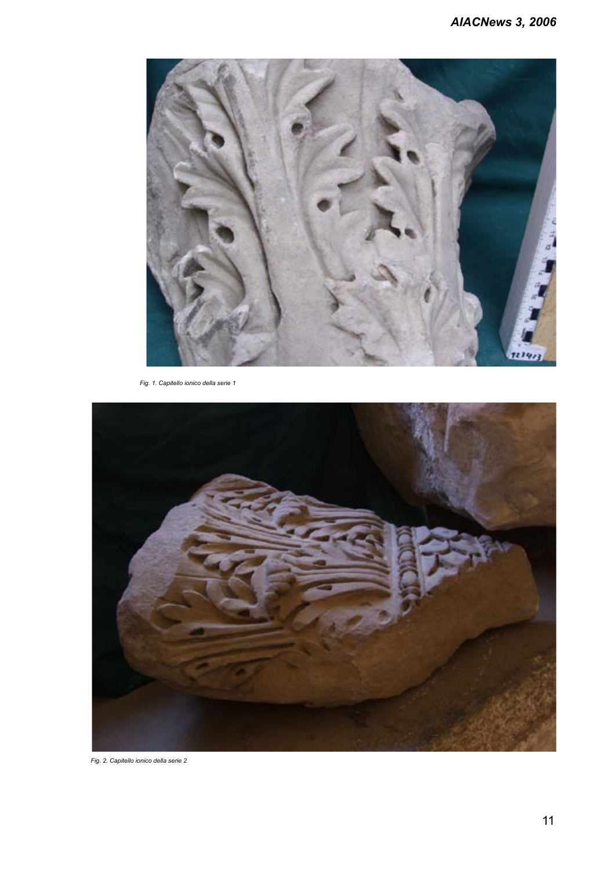

*Fig. 1. Capitello ionico della serie 1* 



*Fig. 2. Capitello ionico della serie 2*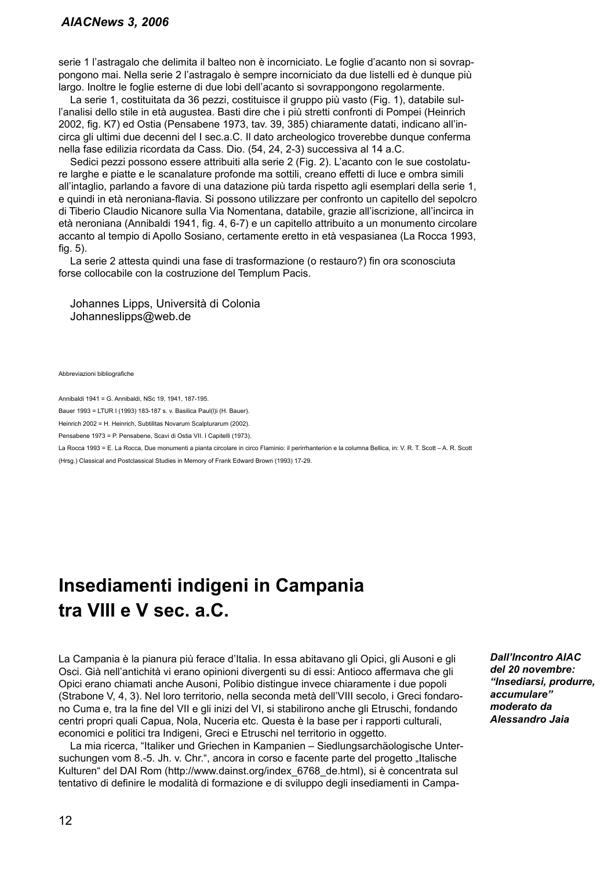serie 1 l'astragalo che delimita il balteo non è incorniciato. Le foglie d'acanto non si sovrappongono mai. Nella serie 2 l'astragalo è sempre incorniciato da due listelli ed è dunque più largo. Inoltre le foglie esterne di due lobi dell'acanto si sovrappongono regolarmente.

La serie 1, costituitata da 36 pezzi, costituisce il gruppo più vasto (Fig. 1), databile sull'analisi dello stile in età augustea. Basti dire che i più stretti confronti di Pompei (Heinrich 2002, fig. K7) ed Ostia (Pensabene 1973, tav. 39, 385) chiaramente datati, indicano all'incirca gli ultimi due decenni del I sec.a.C. Il dato archeologico troverebbe dunque conferma nella fase edilizia ricordata da Cass. Dio. (54, 24, 2-3) successiva al 14 a.C.

Sedici pezzi possono essere attribuiti alla serie 2 (Fig. 2). L'acanto con le sue costolature larghe e piatte e le scanalature profonde ma sottili, creano effetti di luce e ombra simili all'intaglio, parlando a favore di una datazione più tarda rispetto agli esemplari della serie 1, e quindi in età neroniana-flavia. Si possono utilizzare per confronto un capitello del sepolcro di Tiberio Claudio Nicanore sulla Via Nomentana, databile, grazie all'iscrizione, all'incirca in età neroniana (Annibaldi 1941, fig. 4, 6-7) e un capitello attribuito a un monumento circolare accanto al tempio di Apollo Sosiano, certamente eretto in età vespasianea (La Rocca 1993, fig. 5).

La serie 2 attesta quindi una fase di trasformazione (o restauro?) fin ora sconosciuta forse collocabile con la costruzione del Templum Pacis.

Johannes Lipps, Università di Colonia Johanneslipps@web.de

Abbreviazioni bibliografiche

Annibaldi 1941 = G. Annibaldi, NSc 19, 1941, 187-195.

Bauer 1993 = LTUR I (1993) 183-187 s. v. Basilica Paul(l)i (H. Bauer).

Heinrich 2002 = H. Heinrich, Subtilitas Novarum Scalpturarum (2002).

Pensabene 1973 = P. Pensabene, Scavi di Ostia VII. I Capitelli (1973).

La Rocca 1993 = E. La Rocca, Due monumenti a pianta circolare in circo Flaminio: il perirrhanterion e la columna Bellica, in: V. R. T. Scott – A. R. Scott

(Hrsg.) Classical and Postclassical Studies in Memory of Frank Edward Brown (1993) 17-29.

### **Insediamenti indigeni in Campania tra VIII e V sec. a.C.**

La Campania è la pianura più ferace d'Italia. In essa abitavano gli Opici, gli Ausoni e gli Osci. Già nell'antichità vi erano opinioni divergenti su di essi: Antioco affermava che gli Opici erano chiamati anche Ausoni, Polibio distingue invece chiaramente i due popoli (Strabone V, 4, 3). Nel loro territorio, nella seconda metà dell'VIII secolo, i Greci fondarono Cuma e, tra la fine del VII e gli inizi del VI, si stabilirono anche gli Etruschi, fondando centri propri quali Capua, Nola, Nuceria etc. Questa è la base per i rapporti culturali, economici e politici tra Indigeni, Greci e Etruschi nel territorio in oggetto.

La mia ricerca, "Italiker und Griechen in Kampanien – Siedlungsarchäologische Untersuchungen vom 8.-5. Jh. v. Chr.", ancora in corso e facente parte del progetto "Italische Kulturen" del DAI Rom (http://www.dainst.org/index\_6768\_de.html), si è concentrata sul tentativo di definire le modalità di formazione e di sviluppo degli insediamenti in Campa*Dall'Incontro AIAC del 20 novembre: "Insediarsi, produrre, accumulare" moderato da Alessandro Jaia*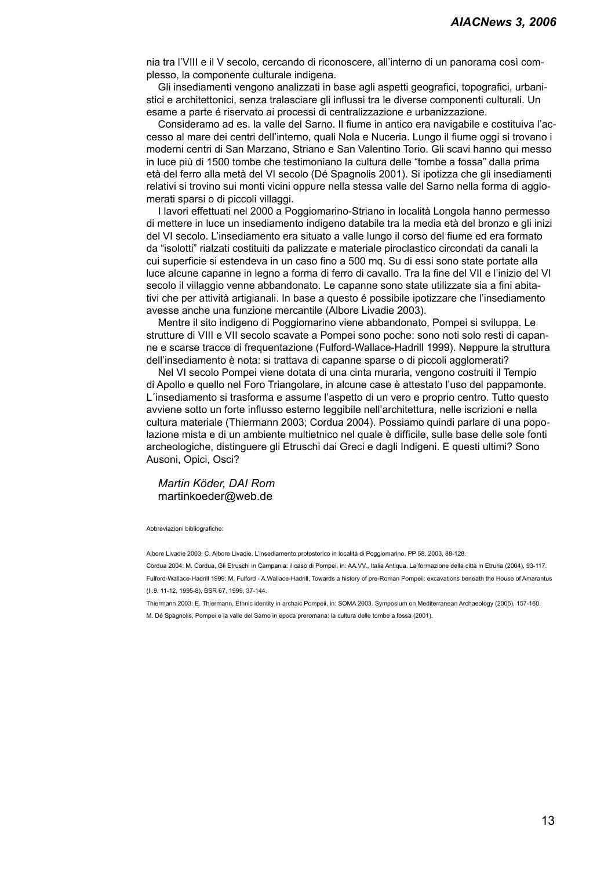nia tra l'VIII e il V secolo, cercando di riconoscere, all'interno di un panorama così complesso, la componente culturale indigena.

Gli insediamenti vengono analizzati in base agli aspetti geografici, topografici, urbanistici e architettonici, senza tralasciare gli influssi tra le diverse componenti culturali. Un esame a parte é riservato ai processi di centralizzazione e urbanizzazione.

Consideramo ad es. la valle del Sarno. Il fiume in antico era navigabile e costituiva l'accesso al mare dei centri dell'interno, quali Nola e Nuceria. Lungo il fiume oggi si trovano i moderni centri di San Marzano, Striano e San Valentino Torio. Gli scavi hanno qui messo in luce più di 1500 tombe che testimoniano la cultura delle "tombe a fossa" dalla prima età del ferro alla metà del VI secolo (Dé Spagnolis 2001). Si ipotizza che gli insediamenti relativi si trovino sui monti vicini oppure nella stessa valle del Sarno nella forma di agglomerati sparsi o di piccoli villaggi.

I lavori effettuati nel 2000 a Poggiomarino-Striano in località Longola hanno permesso di mettere in luce un insediamento indigeno databile tra la media età del bronzo e gli inizi del VI secolo. L'insediamento era situato a valle lungo il corso del fiume ed era formato da "isolotti" rialzati costituiti da palizzate e materiale piroclastico circondati da canali la cui superficie si estendeva in un caso fino a 500 mq. Su di essi sono state portate alla luce alcune capanne in legno a forma di ferro di cavallo. Tra la fine del VII e l'inizio del VI secolo il villaggio venne abbandonato. Le capanne sono state utilizzate sia a fini abitativi che per attività artigianali. In base a questo é possibile ipotizzare che l'insediamento avesse anche una funzione mercantile (Albore Livadie 2003).

Mentre il sito indigeno di Poggiomarino viene abbandonato, Pompei si sviluppa. Le strutture di VIII e VII secolo scavate a Pompei sono poche: sono noti solo resti di capanne e scarse tracce di frequentazione (Fulford-Wallace-Hadrill 1999). Neppure la struttura dell'insediamento è nota: si trattava di capanne sparse o di piccoli agglomerati?

Nel VI secolo Pompei viene dotata di una cinta muraria, vengono costruiti il Tempio di Apollo e quello nel Foro Triangolare, in alcune case è attestato l'uso del pappamonte. L´insediamento si trasforma e assume l'aspetto di un vero e proprio centro. Tutto questo avviene sotto un forte influsso esterno leggibile nell'architettura, nelle iscrizioni e nella cultura materiale (Thiermann 2003; Cordua 2004). Possiamo quindi parlare di una popolazione mista e di un ambiente multietnico nel quale è difficile, sulle base delle sole fonti archeologiche, distinguere gli Etruschi dai Greci e dagli Indigeni. E questi ultimi? Sono Ausoni, Opici, Osci?

### *Martin Köder, DAI Rom*  martinkoeder@web.de

#### Abbreviazioni bibliografiche:

Albore Livadie 2003: C. Albore Livadie, L'insediamento protostorico in località di Poggiomarino, PP 58, 2003, 88-128.

Cordua 2004: M. Cordua, Gli Etruschi in Campania: il caso di Pompei, in: AA.VV., Italia Antiqua. La formazione della città in Etruria (2004), 93-117. Fulford-Wallace-Hadrill 1999: M. Fulford - A.Wallace-Hadrill, Towards a history of pre-Roman Pompeii: excavations beneath the House of Amarantus (I .9. 11-12, 1995-8), BSR 67, 1999, 37-144.

Thiermann 2003: E. Thiermann, Ethnic identity in archaic Pompeii, in: SOMA 2003. Symposium on Mediterranean Archaeology (2005), 157-160. M. Dé Spagnolis, Pompei e la valle del Sarno in epoca preromana: la cultura delle tombe a fossa (2001).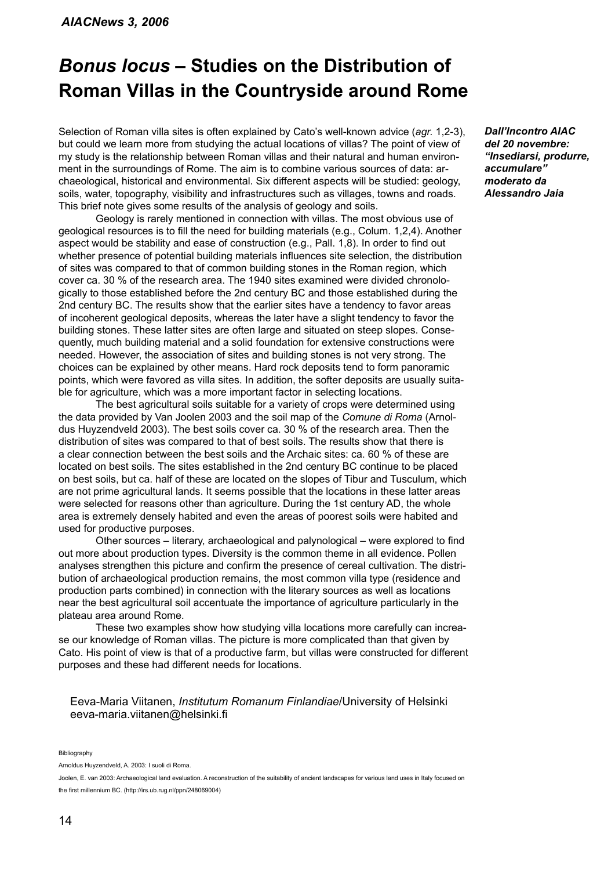### *Bonus locus* **– Studies on the Distribution of Roman Villas in the Countryside around Rome**

Selection of Roman villa sites is often explained by Cato's well-known advice (*agr.* 1,2-3), but could we learn more from studying the actual locations of villas? The point of view of my study is the relationship between Roman villas and their natural and human environment in the surroundings of Rome. The aim is to combine various sources of data: archaeological, historical and environmental. Six different aspects will be studied: geology, soils, water, topography, visibility and infrastructures such as villages, towns and roads. This brief note gives some results of the analysis of geology and soils.

 Geology is rarely mentioned in connection with villas. The most obvious use of geological resources is to fill the need for building materials (e.g., Colum. 1,2,4). Another aspect would be stability and ease of construction (e.g., Pall. 1,8). In order to find out whether presence of potential building materials influences site selection, the distribution of sites was compared to that of common building stones in the Roman region, which cover ca. 30 % of the research area. The 1940 sites examined were divided chronologically to those established before the 2nd century BC and those established during the 2nd century BC. The results show that the earlier sites have a tendency to favor areas of incoherent geological deposits, whereas the later have a slight tendency to favor the building stones. These latter sites are often large and situated on steep slopes. Consequently, much building material and a solid foundation for extensive constructions were needed. However, the association of sites and building stones is not very strong. The choices can be explained by other means. Hard rock deposits tend to form panoramic points, which were favored as villa sites. In addition, the softer deposits are usually suitable for agriculture, which was a more important factor in selecting locations.

 The best agricultural soils suitable for a variety of crops were determined using the data provided by Van Joolen 2003 and the soil map of the *Comune di Roma* (Arnoldus Huyzendveld 2003). The best soils cover ca. 30 % of the research area. Then the distribution of sites was compared to that of best soils. The results show that there is a clear connection between the best soils and the Archaic sites: ca. 60 % of these are located on best soils. The sites established in the 2nd century BC continue to be placed on best soils, but ca. half of these are located on the slopes of Tibur and Tusculum, which are not prime agricultural lands. It seems possible that the locations in these latter areas were selected for reasons other than agriculture. During the 1st century AD, the whole area is extremely densely habited and even the areas of poorest soils were habited and used for productive purposes.

 Other sources – literary, archaeological and palynological – were explored to find out more about production types. Diversity is the common theme in all evidence. Pollen analyses strengthen this picture and confirm the presence of cereal cultivation. The distribution of archaeological production remains, the most common villa type (residence and production parts combined) in connection with the literary sources as well as locations near the best agricultural soil accentuate the importance of agriculture particularly in the plateau area around Rome.

 These two examples show how studying villa locations more carefully can increase our knowledge of Roman villas. The picture is more complicated than that given by Cato. His point of view is that of a productive farm, but villas were constructed for different purposes and these had different needs for locations.

### Eeva-Maria Viitanen, *Institutum Romanum Finlandiae*/University of Helsinki eeva-maria.viitanen@helsinki.fi

Bibliography

Arnoldus Huyzendveld, A. 2003: I suoli di Roma.

*Dall'Incontro AIAC del 20 novembre: "Insediarsi, produrre, accumulare" moderato da Alessandro Jaia*

Joolen, E. van 2003: Archaeological land evaluation. A reconstruction of the suitability of ancient landscapes for various land uses in Italy focused on the first millennium BC. (http://irs.ub.rug.nl/ppn/248069004)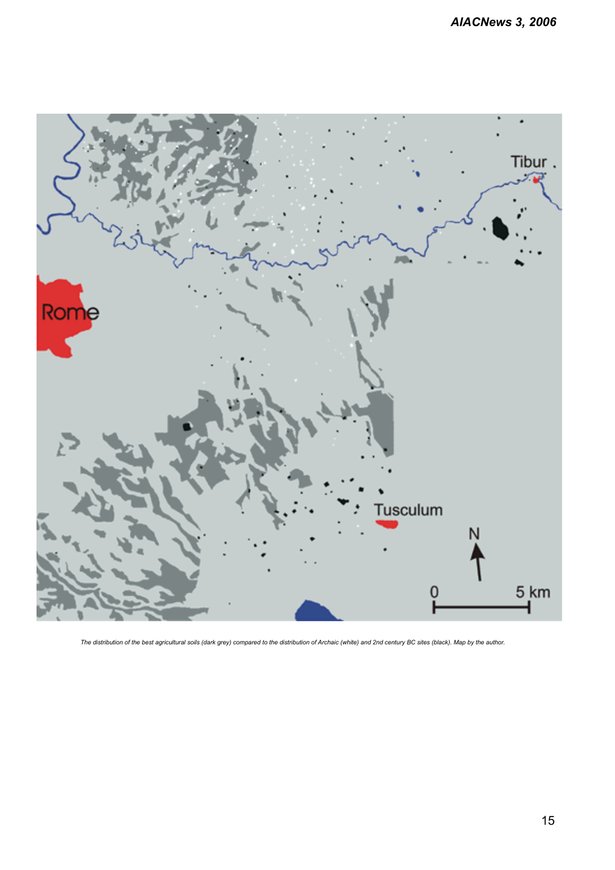

*The distribution of the best agricultural soils (dark grey) compared to the distribution of Archaic (white) and 2nd century BC sites (black). Map by the author.*